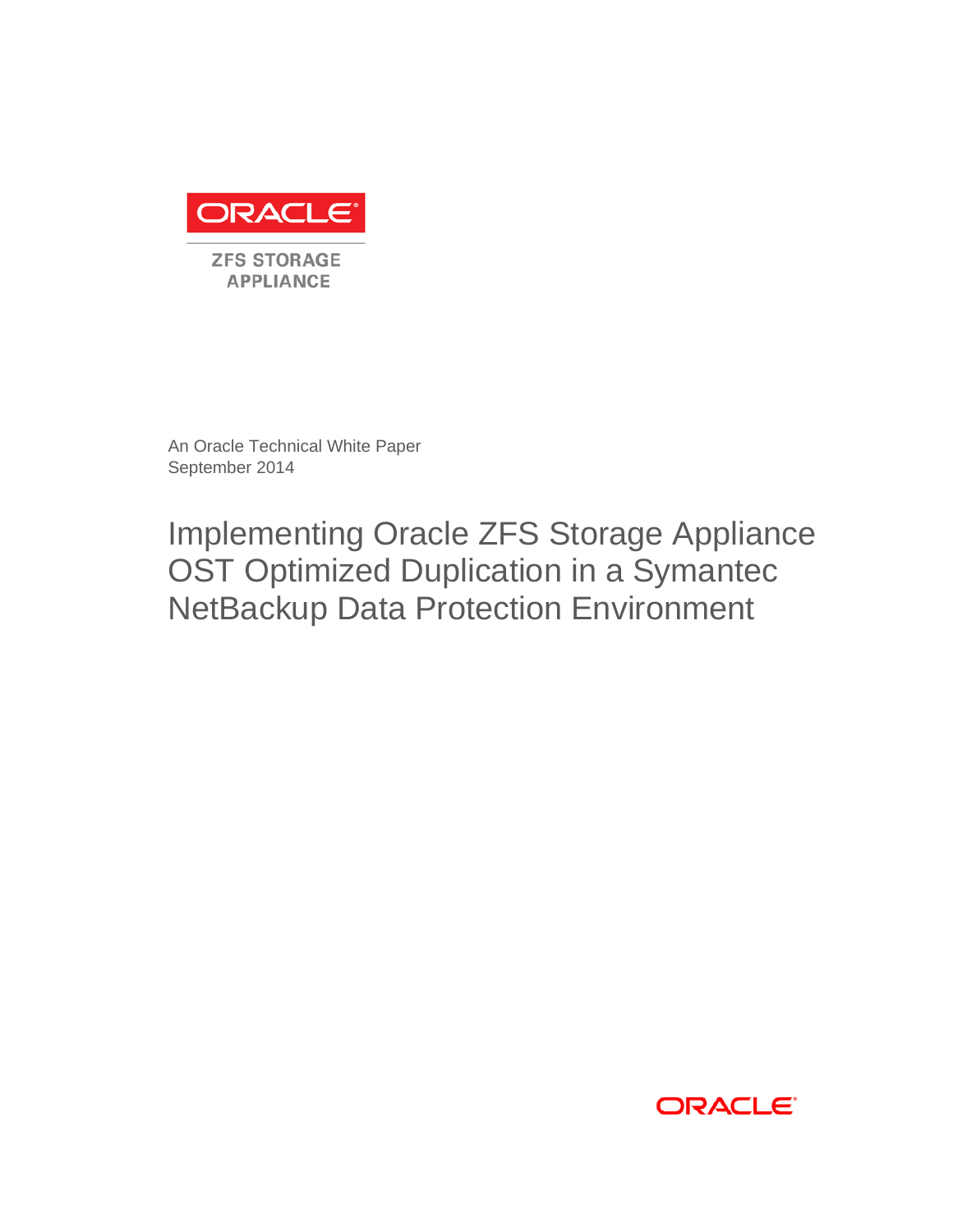

An Oracle Technical White Paper September 2014

Implementing Oracle ZFS Storage Appliance OST Optimized Duplication in a Symantec NetBackup Data Protection Environment

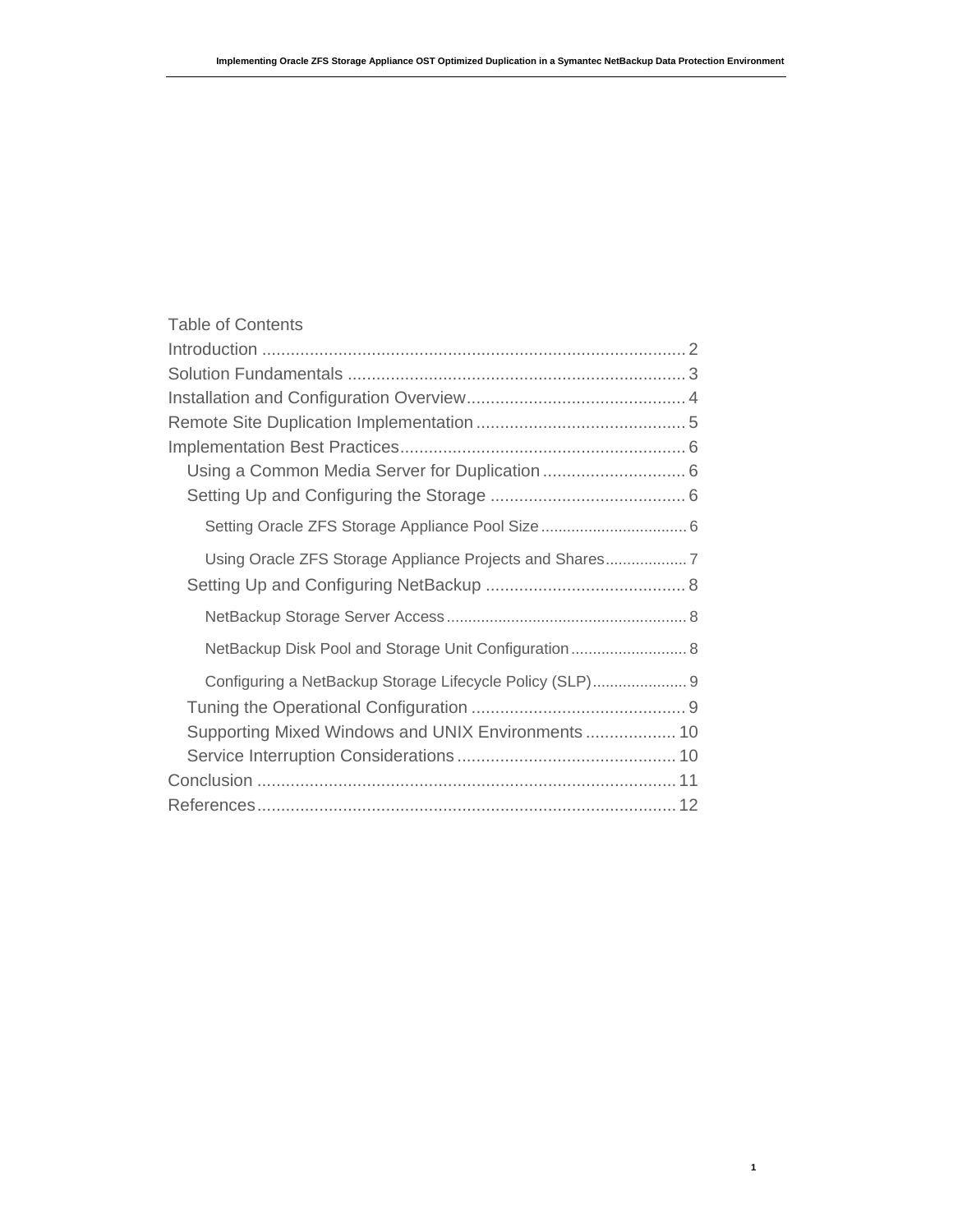| <b>Table of Contents</b>                                 |  |
|----------------------------------------------------------|--|
|                                                          |  |
|                                                          |  |
|                                                          |  |
|                                                          |  |
|                                                          |  |
|                                                          |  |
|                                                          |  |
|                                                          |  |
| Using Oracle ZFS Storage Appliance Projects and Shares   |  |
|                                                          |  |
|                                                          |  |
| NetBackup Disk Pool and Storage Unit Configuration  8    |  |
| Configuring a NetBackup Storage Lifecycle Policy (SLP) 9 |  |
|                                                          |  |
| Supporting Mixed Windows and UNIX Environments  10       |  |
|                                                          |  |
|                                                          |  |
|                                                          |  |

**1**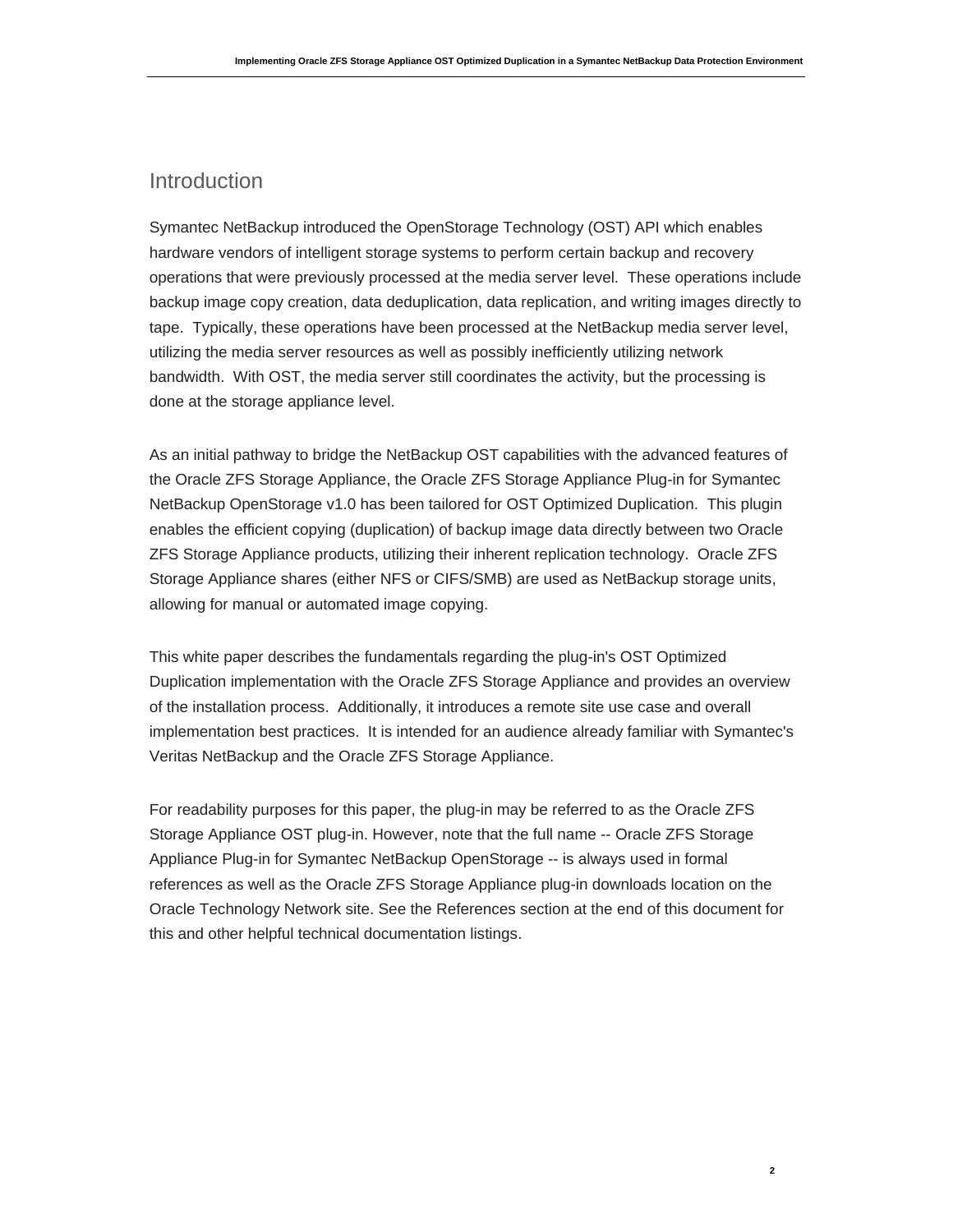## Introduction

Symantec NetBackup introduced the OpenStorage Technology (OST) API which enables hardware vendors of intelligent storage systems to perform certain backup and recovery operations that were previously processed at the media server level. These operations include backup image copy creation, data deduplication, data replication, and writing images directly to tape. Typically, these operations have been processed at the NetBackup media server level, utilizing the media server resources as well as possibly inefficiently utilizing network bandwidth. With OST, the media server still coordinates the activity, but the processing is done at the storage appliance level.

As an initial pathway to bridge the NetBackup OST capabilities with the advanced features of the Oracle ZFS Storage Appliance, the Oracle ZFS Storage Appliance Plug-in for Symantec NetBackup OpenStorage v1.0 has been tailored for OST Optimized Duplication. This plugin enables the efficient copying (duplication) of backup image data directly between two Oracle ZFS Storage Appliance products, utilizing their inherent replication technology. Oracle ZFS Storage Appliance shares (either NFS or CIFS/SMB) are used as NetBackup storage units, allowing for manual or automated image copying.

This white paper describes the fundamentals regarding the plug-in's OST Optimized Duplication implementation with the Oracle ZFS Storage Appliance and provides an overview of the installation process. Additionally, it introduces a remote site use case and overall implementation best practices. It is intended for an audience already familiar with Symantec's Veritas NetBackup and the Oracle ZFS Storage Appliance.

For readability purposes for this paper, the plug-in may be referred to as the Oracle ZFS Storage Appliance OST plug-in. However, note that the full name -- Oracle ZFS Storage Appliance Plug-in for Symantec NetBackup OpenStorage -- is always used in formal references as well as the Oracle ZFS Storage Appliance plug-in downloads location on the Oracle Technology Network site. See the References section at the end of this document for this and other helpful technical documentation listings.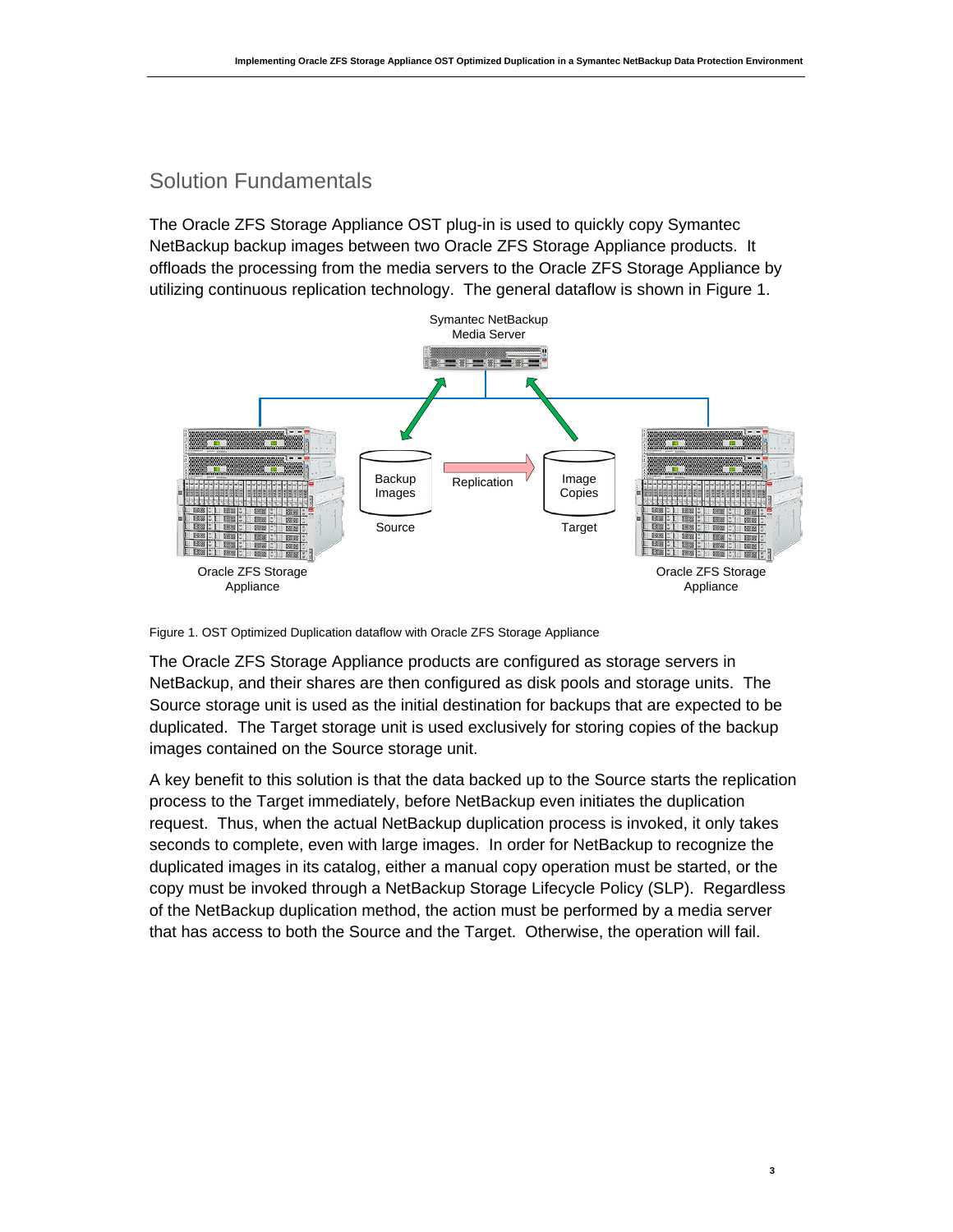## Solution Fundamentals

The Oracle ZFS Storage Appliance OST plug-in is used to quickly copy Symantec NetBackup backup images between two Oracle ZFS Storage Appliance products. It offloads the processing from the media servers to the Oracle ZFS Storage Appliance by utilizing continuous replication technology. The general dataflow is shown in Figure 1.



Figure 1. OST Optimized Duplication dataflow with Oracle ZFS Storage Appliance

The Oracle ZFS Storage Appliance products are configured as storage servers in NetBackup, and their shares are then configured as disk pools and storage units. The Source storage unit is used as the initial destination for backups that are expected to be duplicated. The Target storage unit is used exclusively for storing copies of the backup images contained on the Source storage unit.

A key benefit to this solution is that the data backed up to the Source starts the replication process to the Target immediately, before NetBackup even initiates the duplication request. Thus, when the actual NetBackup duplication process is invoked, it only takes seconds to complete, even with large images. In order for NetBackup to recognize the duplicated images in its catalog, either a manual copy operation must be started, or the copy must be invoked through a NetBackup Storage Lifecycle Policy (SLP). Regardless of the NetBackup duplication method, the action must be performed by a media server that has access to both the Source and the Target. Otherwise, the operation will fail.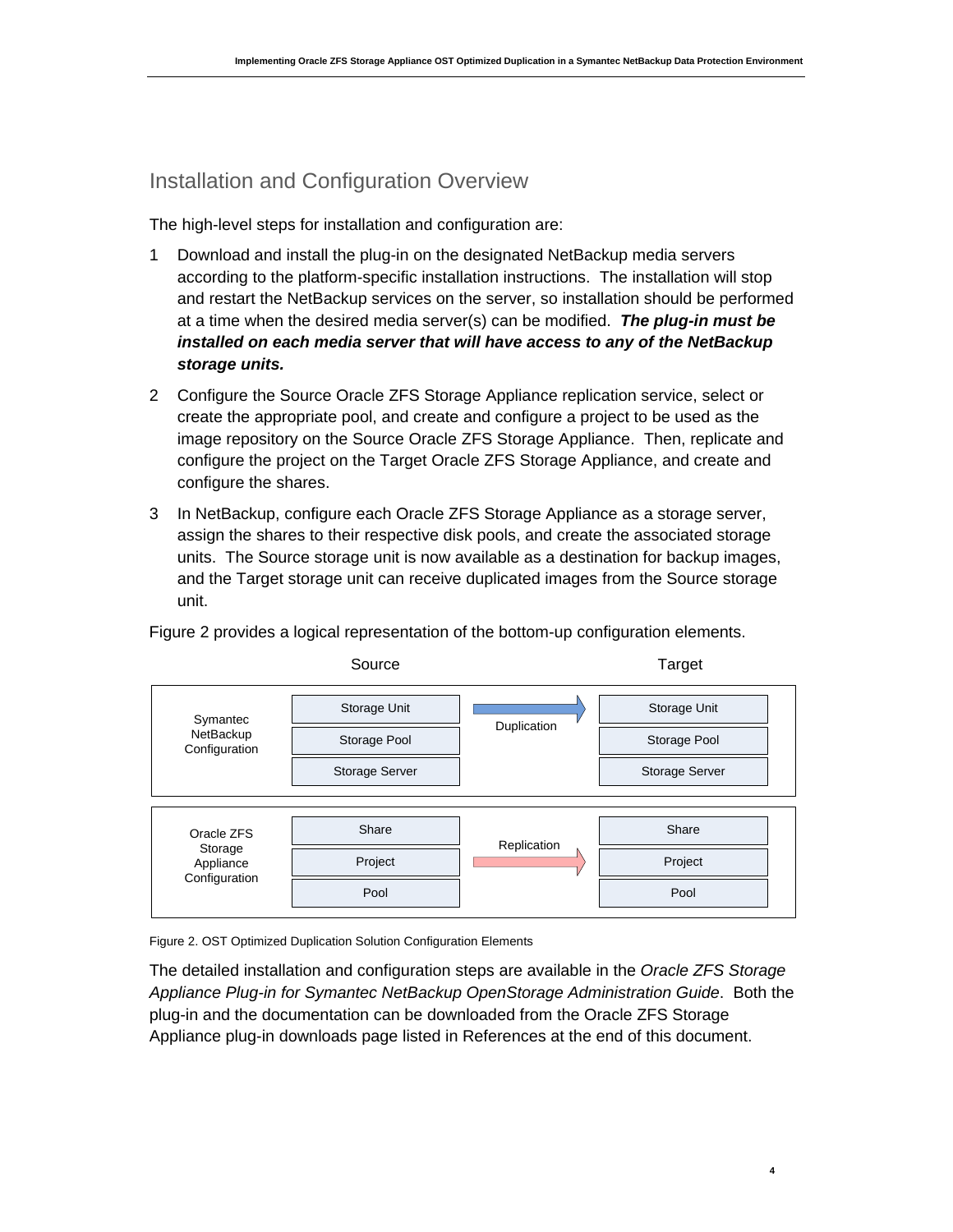## Installation and Configuration Overview

The high-level steps for installation and configuration are:

- 1 Download and install the plug-in on the designated NetBackup media servers according to the platform-specific installation instructions. The installation will stop and restart the NetBackup services on the server, so installation should be performed at a time when the desired media server(s) can be modified. *The plug-in must be installed on each media server that will have access to any of the NetBackup storage units.*
- 2 Configure the Source Oracle ZFS Storage Appliance replication service, select or create the appropriate pool, and create and configure a project to be used as the image repository on the Source Oracle ZFS Storage Appliance. Then, replicate and configure the project on the Target Oracle ZFS Storage Appliance, and create and configure the shares.
- 3 In NetBackup, configure each Oracle ZFS Storage Appliance as a storage server, assign the shares to their respective disk pools, and create the associated storage units. The Source storage unit is now available as a destination for backup images, and the Target storage unit can receive duplicated images from the Source storage unit.

Figure 2 provides a logical representation of the bottom-up configuration elements.



Figure 2. OST Optimized Duplication Solution Configuration Elements

The detailed installation and configuration steps are available in the *Oracle ZFS Storage Appliance Plug-in for Symantec NetBackup OpenStorage Administration Guide*. Both the plug-in and the documentation can be downloaded from the Oracle ZFS Storage Appliance plug-in downloads page listed in References at the end of this document.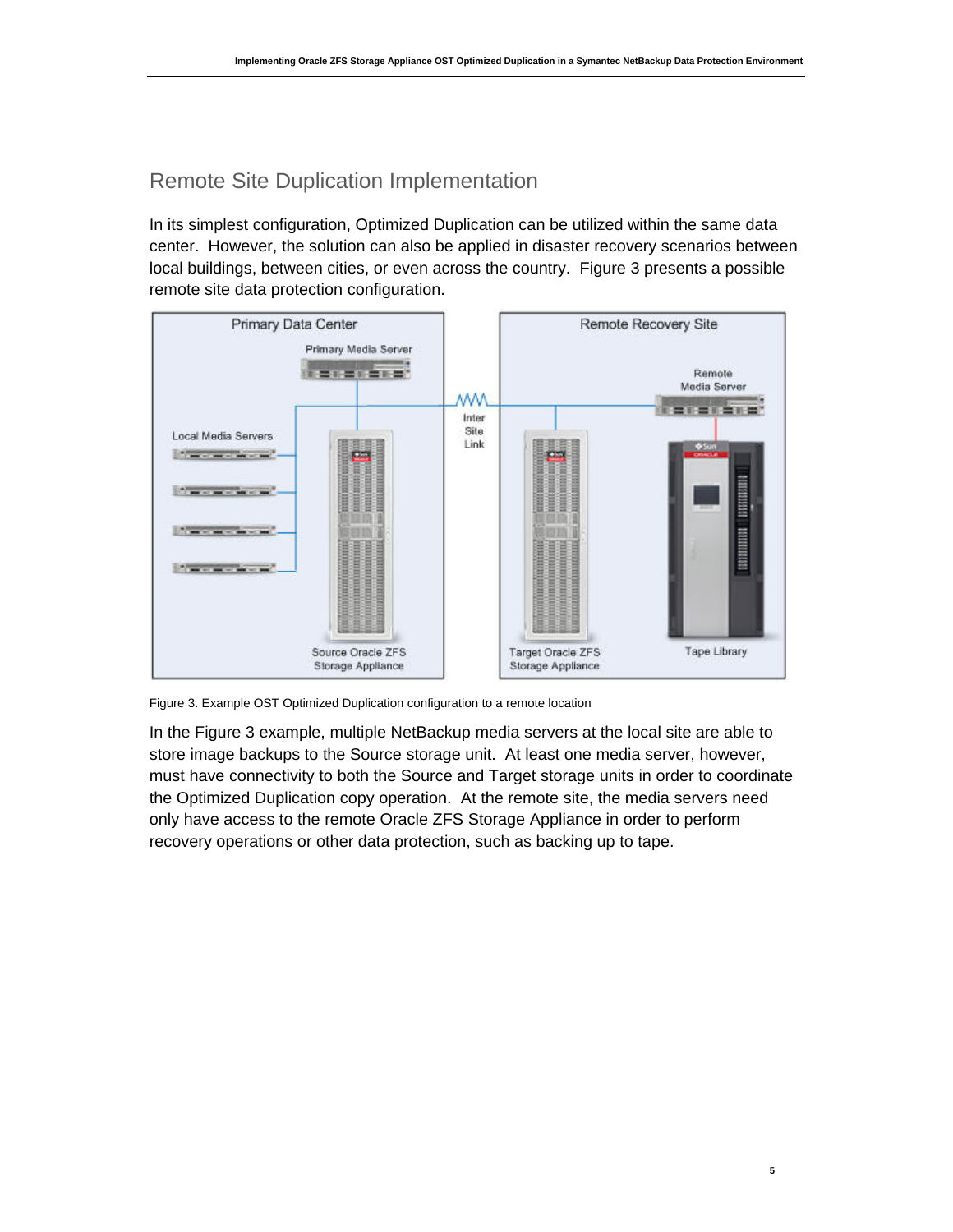# Remote Site Duplication Implementation

In its simplest configuration, Optimized Duplication can be utilized within the same data center. However, the solution can also be applied in disaster recovery scenarios between local buildings, between cities, or even across the country. Figure 3 presents a possible remote site data protection configuration.



Figure 3. Example OST Optimized Duplication configuration to a remote location

In the Figure 3 example, multiple NetBackup media servers at the local site are able to store image backups to the Source storage unit. At least one media server, however, must have connectivity to both the Source and Target storage units in order to coordinate the Optimized Duplication copy operation. At the remote site, the media servers need only have access to the remote Oracle ZFS Storage Appliance in order to perform recovery operations or other data protection, such as backing up to tape.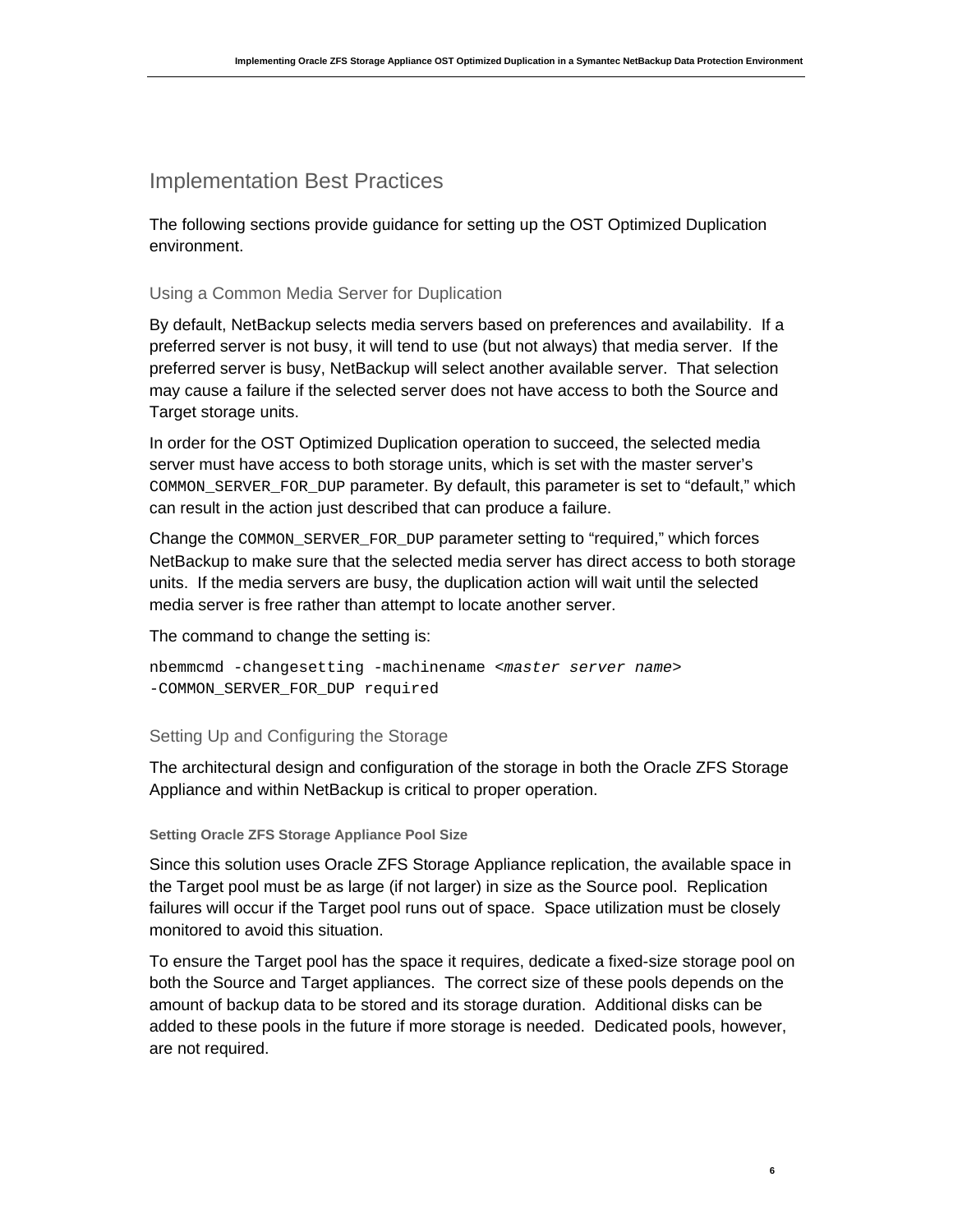## Implementation Best Practices

The following sections provide guidance for setting up the OST Optimized Duplication environment.

## Using a Common Media Server for Duplication

By default, NetBackup selects media servers based on preferences and availability. If a preferred server is not busy, it will tend to use (but not always) that media server. If the preferred server is busy, NetBackup will select another available server. That selection may cause a failure if the selected server does not have access to both the Source and Target storage units.

In order for the OST Optimized Duplication operation to succeed, the selected media server must have access to both storage units, which is set with the master server's COMMON\_SERVER\_FOR\_DUP parameter. By default, this parameter is set to "default," which can result in the action just described that can produce a failure.

Change the COMMON\_SERVER\_FOR\_DUP parameter setting to "required," which forces NetBackup to make sure that the selected media server has direct access to both storage units. If the media servers are busy, the duplication action will wait until the selected media server is free rather than attempt to locate another server.

The command to change the setting is:

```
nbemmcmd -changesetting -machinename <master server name> 
-COMMON_SERVER_FOR_DUP required
```
## Setting Up and Configuring the Storage

The architectural design and configuration of the storage in both the Oracle ZFS Storage Appliance and within NetBackup is critical to proper operation.

### **Setting Oracle ZFS Storage Appliance Pool Size**

Since this solution uses Oracle ZFS Storage Appliance replication, the available space in the Target pool must be as large (if not larger) in size as the Source pool. Replication failures will occur if the Target pool runs out of space. Space utilization must be closely monitored to avoid this situation.

To ensure the Target pool has the space it requires, dedicate a fixed-size storage pool on both the Source and Target appliances. The correct size of these pools depends on the amount of backup data to be stored and its storage duration. Additional disks can be added to these pools in the future if more storage is needed. Dedicated pools, however, are not required.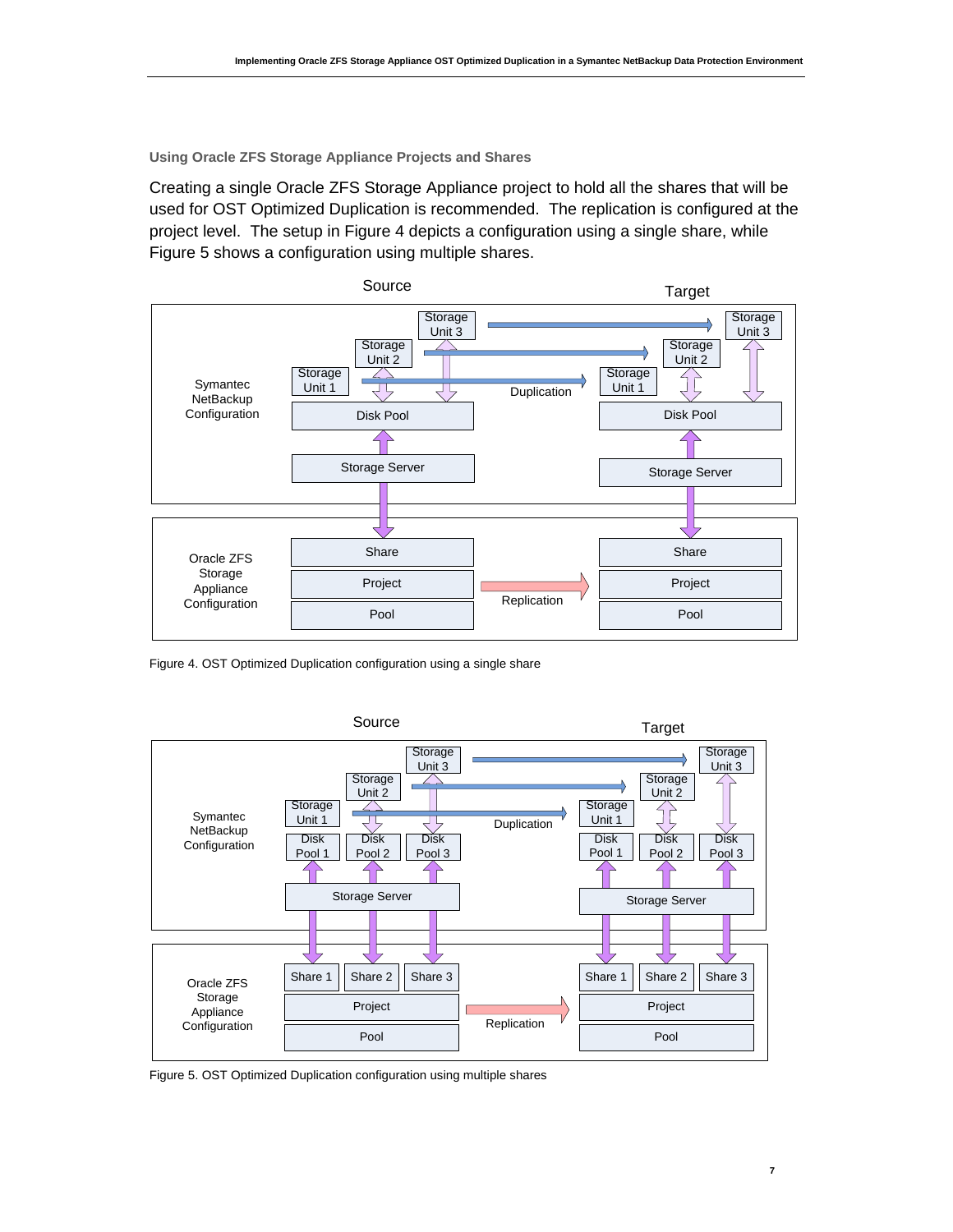**Using Oracle ZFS Storage Appliance Projects and Shares**

Creating a single Oracle ZFS Storage Appliance project to hold all the shares that will be used for OST Optimized Duplication is recommended. The replication is configured at the project level. The setup in Figure 4 depicts a configuration using a single share, while Figure 5 shows a configuration using multiple shares.



Figure 4. OST Optimized Duplication configuration using a single share



Figure 5. OST Optimized Duplication configuration using multiple shares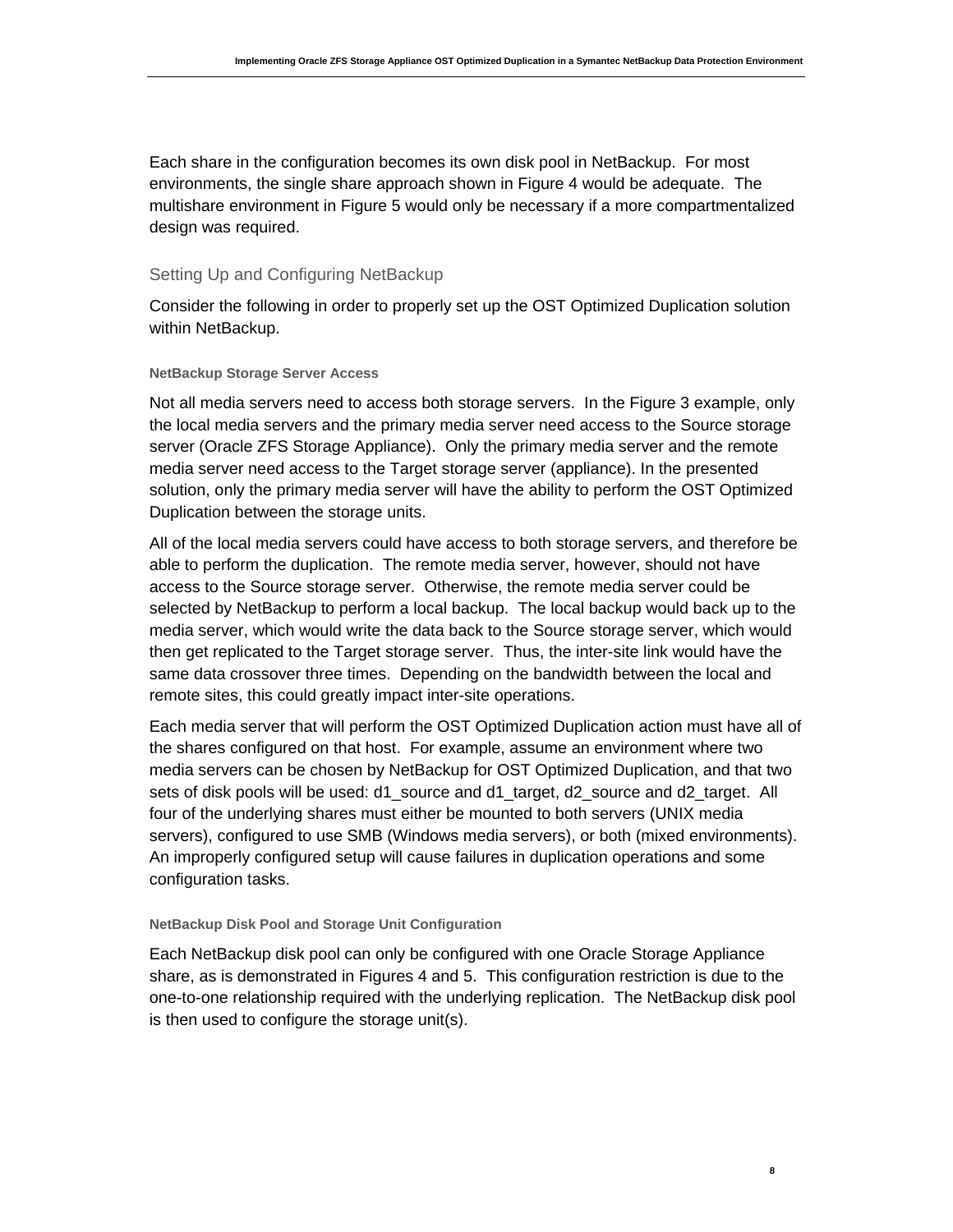Each share in the configuration becomes its own disk pool in NetBackup. For most environments, the single share approach shown in Figure 4 would be adequate. The multishare environment in Figure 5 would only be necessary if a more compartmentalized design was required.

### Setting Up and Configuring NetBackup

Consider the following in order to properly set up the OST Optimized Duplication solution within NetBackup.

### **NetBackup Storage Server Access**

Not all media servers need to access both storage servers. In the Figure 3 example, only the local media servers and the primary media server need access to the Source storage server (Oracle ZFS Storage Appliance). Only the primary media server and the remote media server need access to the Target storage server (appliance). In the presented solution, only the primary media server will have the ability to perform the OST Optimized Duplication between the storage units.

All of the local media servers could have access to both storage servers, and therefore be able to perform the duplication. The remote media server, however, should not have access to the Source storage server. Otherwise, the remote media server could be selected by NetBackup to perform a local backup. The local backup would back up to the media server, which would write the data back to the Source storage server, which would then get replicated to the Target storage server. Thus, the inter-site link would have the same data crossover three times. Depending on the bandwidth between the local and remote sites, this could greatly impact inter-site operations.

Each media server that will perform the OST Optimized Duplication action must have all of the shares configured on that host. For example, assume an environment where two media servers can be chosen by NetBackup for OST Optimized Duplication, and that two sets of disk pools will be used: d1\_source and d1\_target, d2\_source and d2\_target. All four of the underlying shares must either be mounted to both servers (UNIX media servers), configured to use SMB (Windows media servers), or both (mixed environments). An improperly configured setup will cause failures in duplication operations and some configuration tasks.

### **NetBackup Disk Pool and Storage Unit Configuration**

Each NetBackup disk pool can only be configured with one Oracle Storage Appliance share, as is demonstrated in Figures 4 and 5. This configuration restriction is due to the one-to-one relationship required with the underlying replication. The NetBackup disk pool is then used to configure the storage unit(s).

**8**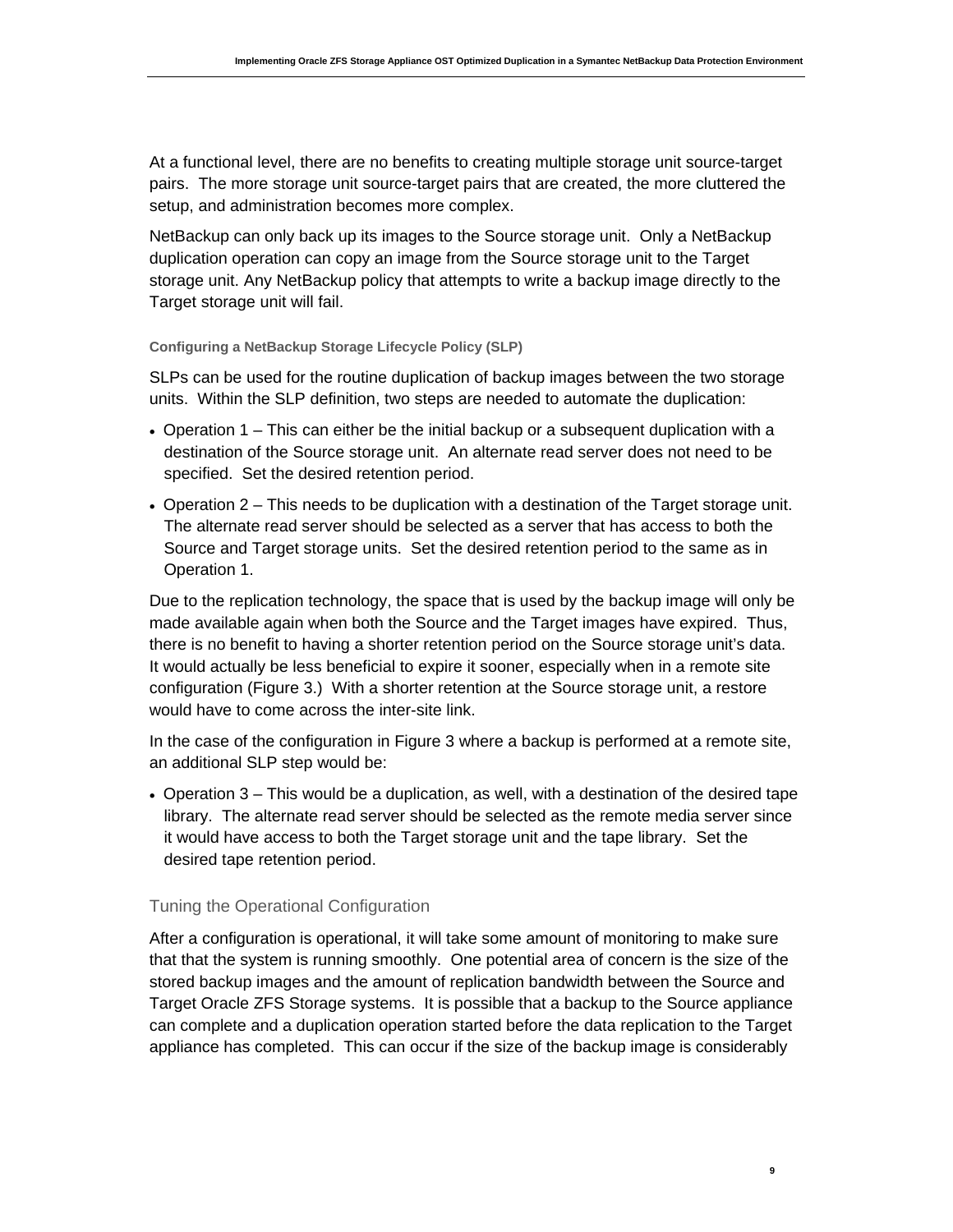At a functional level, there are no benefits to creating multiple storage unit source-target pairs. The more storage unit source-target pairs that are created, the more cluttered the setup, and administration becomes more complex.

NetBackup can only back up its images to the Source storage unit. Only a NetBackup duplication operation can copy an image from the Source storage unit to the Target storage unit. Any NetBackup policy that attempts to write a backup image directly to the Target storage unit will fail.

### **Configuring a NetBackup Storage Lifecycle Policy (SLP)**

SLPs can be used for the routine duplication of backup images between the two storage units. Within the SLP definition, two steps are needed to automate the duplication:

- Operation 1 This can either be the initial backup or a subsequent duplication with a destination of the Source storage unit. An alternate read server does not need to be specified. Set the desired retention period.
- Operation 2 This needs to be duplication with a destination of the Target storage unit. The alternate read server should be selected as a server that has access to both the Source and Target storage units. Set the desired retention period to the same as in Operation 1.

Due to the replication technology, the space that is used by the backup image will only be made available again when both the Source and the Target images have expired. Thus, there is no benefit to having a shorter retention period on the Source storage unit's data. It would actually be less beneficial to expire it sooner, especially when in a remote site configuration (Figure 3.) With a shorter retention at the Source storage unit, a restore would have to come across the inter-site link.

In the case of the configuration in Figure 3 where a backup is performed at a remote site, an additional SLP step would be:

• Operation 3 – This would be a duplication, as well, with a destination of the desired tape library. The alternate read server should be selected as the remote media server since it would have access to both the Target storage unit and the tape library. Set the desired tape retention period.

## Tuning the Operational Configuration

After a configuration is operational, it will take some amount of monitoring to make sure that that the system is running smoothly. One potential area of concern is the size of the stored backup images and the amount of replication bandwidth between the Source and Target Oracle ZFS Storage systems. It is possible that a backup to the Source appliance can complete and a duplication operation started before the data replication to the Target appliance has completed. This can occur if the size of the backup image is considerably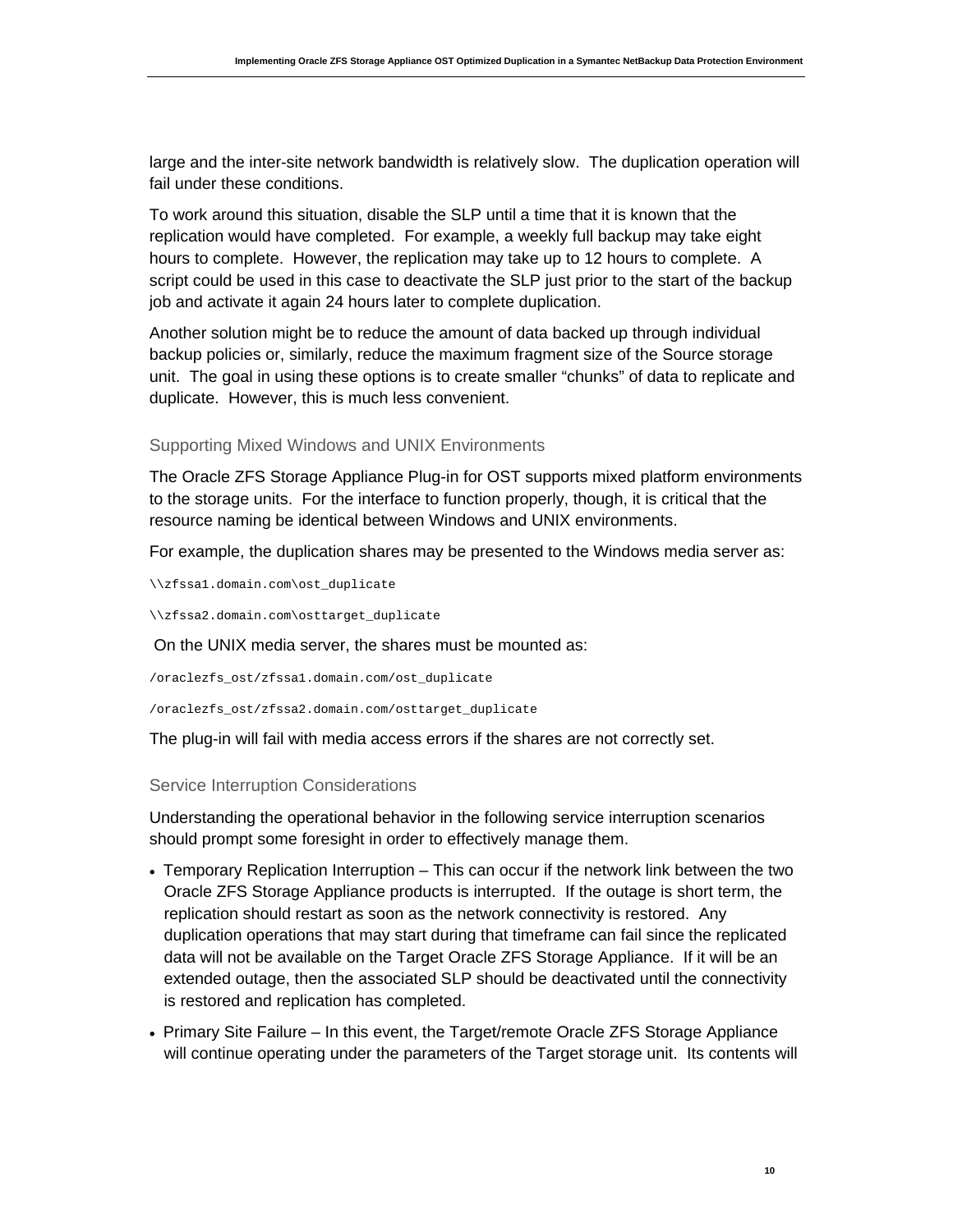large and the inter-site network bandwidth is relatively slow. The duplication operation will fail under these conditions.

To work around this situation, disable the SLP until a time that it is known that the replication would have completed. For example, a weekly full backup may take eight hours to complete. However, the replication may take up to 12 hours to complete. A script could be used in this case to deactivate the SLP just prior to the start of the backup job and activate it again 24 hours later to complete duplication.

Another solution might be to reduce the amount of data backed up through individual backup policies or, similarly, reduce the maximum fragment size of the Source storage unit. The goal in using these options is to create smaller "chunks" of data to replicate and duplicate. However, this is much less convenient.

### Supporting Mixed Windows and UNIX Environments

The Oracle ZFS Storage Appliance Plug-in for OST supports mixed platform environments to the storage units. For the interface to function properly, though, it is critical that the resource naming be identical between Windows and UNIX environments.

For example, the duplication shares may be presented to the Windows media server as:

\\zfssa1.domain.com\ost\_duplicate

\\zfssa2.domain.com\osttarget\_duplicate

On the UNIX media server, the shares must be mounted as:

/oraclezfs\_ost/zfssa1.domain.com/ost\_duplicate

/oraclezfs\_ost/zfssa2.domain.com/osttarget\_duplicate

The plug-in will fail with media access errors if the shares are not correctly set.

### Service Interruption Considerations

Understanding the operational behavior in the following service interruption scenarios should prompt some foresight in order to effectively manage them.

- Temporary Replication Interruption This can occur if the network link between the two Oracle ZFS Storage Appliance products is interrupted. If the outage is short term, the replication should restart as soon as the network connectivity is restored. Any duplication operations that may start during that timeframe can fail since the replicated data will not be available on the Target Oracle ZFS Storage Appliance. If it will be an extended outage, then the associated SLP should be deactivated until the connectivity is restored and replication has completed.
- Primary Site Failure In this event, the Target/remote Oracle ZFS Storage Appliance will continue operating under the parameters of the Target storage unit. Its contents will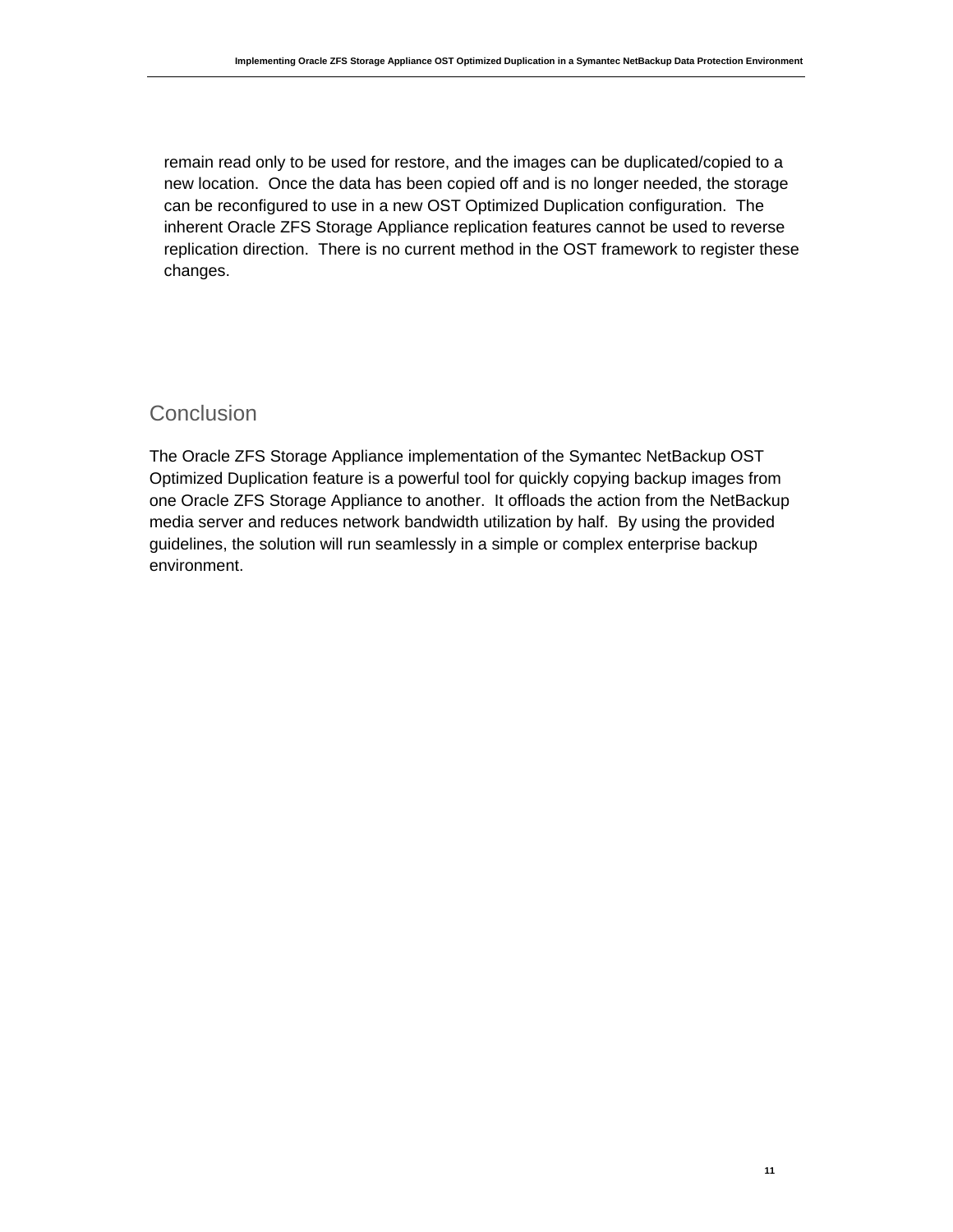remain read only to be used for restore, and the images can be duplicated/copied to a new location. Once the data has been copied off and is no longer needed, the storage can be reconfigured to use in a new OST Optimized Duplication configuration. The inherent Oracle ZFS Storage Appliance replication features cannot be used to reverse replication direction. There is no current method in the OST framework to register these changes.

## **Conclusion**

The Oracle ZFS Storage Appliance implementation of the Symantec NetBackup OST Optimized Duplication feature is a powerful tool for quickly copying backup images from one Oracle ZFS Storage Appliance to another. It offloads the action from the NetBackup media server and reduces network bandwidth utilization by half. By using the provided guidelines, the solution will run seamlessly in a simple or complex enterprise backup environment.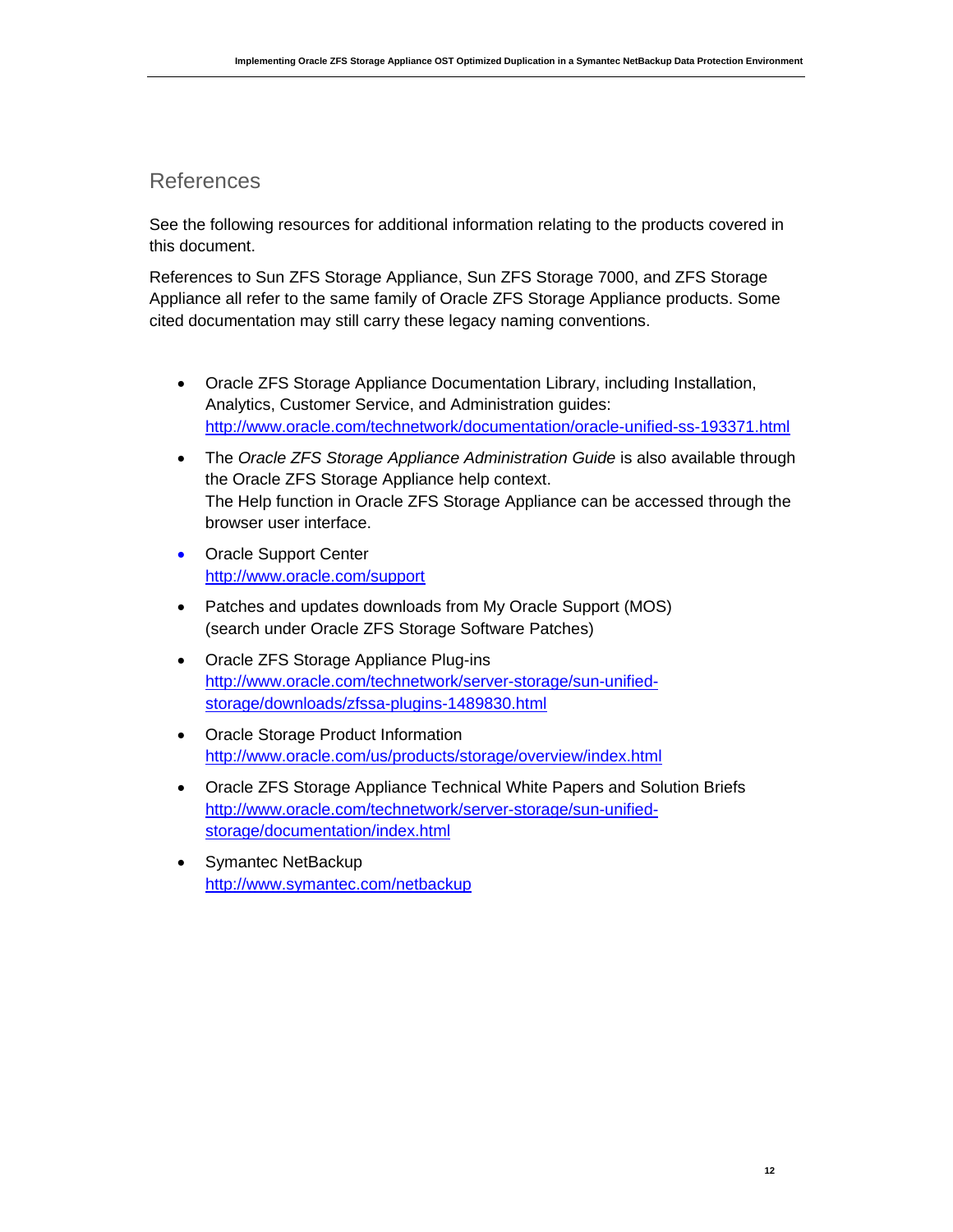## References

See the following resources for additional information relating to the products covered in this document.

References to Sun ZFS Storage Appliance, Sun ZFS Storage 7000, and ZFS Storage Appliance all refer to the same family of Oracle ZFS Storage Appliance products. Some cited documentation may still carry these legacy naming conventions.

- Oracle ZFS Storage Appliance Documentation Library, including Installation, Analytics, Customer Service, and Administration guides: <http://www.oracle.com/technetwork/documentation/oracle-unified-ss-193371.html>
- The *Oracle ZFS Storage Appliance Administration Guide* is also available through the Oracle ZFS Storage Appliance help context. The Help function in Oracle ZFS Storage Appliance can be accessed through the browser user interface.
- Oracle Support Center <http://www.oracle.com/support>
- Patches and updates downloads from My Oracle Support (MOS) (search under Oracle ZFS Storage Software Patches)
- Oracle ZFS Storage Appliance Plug-ins [http://www.oracle.com/technetwork/server-storage/sun-unified](http://www.oracle.com/technetwork/server-storage/sun-unified-storage/downloads/zfssa-plugins-1489830.html)[storage/downloads/zfssa-plugins-1489830.html](http://www.oracle.com/technetwork/server-storage/sun-unified-storage/downloads/zfssa-plugins-1489830.html)
- Oracle Storage Product Information <http://www.oracle.com/us/products/storage/overview/index.html>
- Oracle ZFS Storage Appliance Technical White Papers and Solution Briefs [http://www.oracle.com/technetwork/server-storage/sun-unified](http://www.oracle.com/technetwork/server-storage/sun-unified-storage/documentation/index.html)[storage/documentation/index.html](http://www.oracle.com/technetwork/server-storage/sun-unified-storage/documentation/index.html)
- Symantec NetBackup <http://www.symantec.com/netbackup>